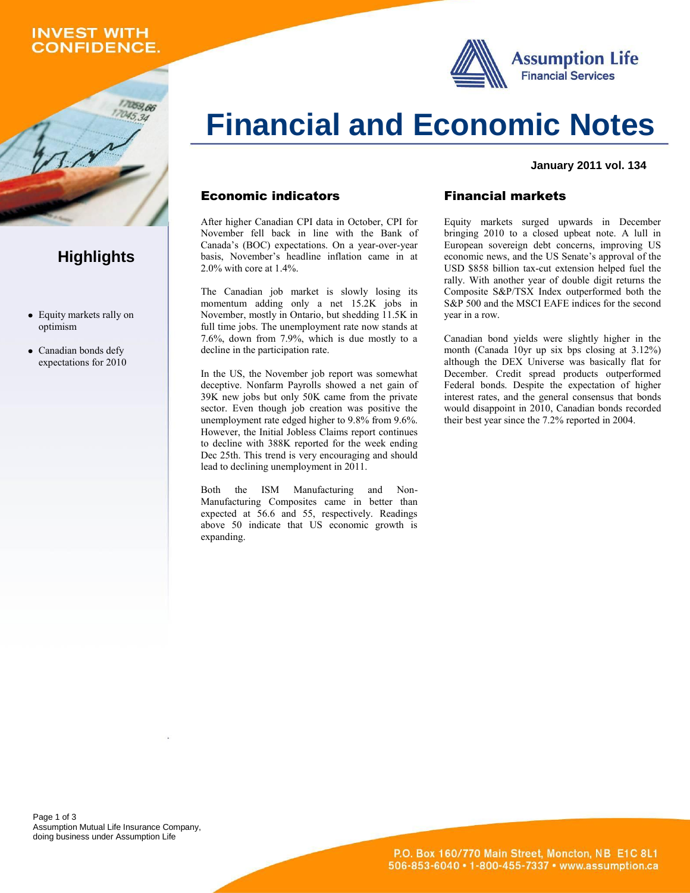## **INVEST WITH CONFIDENCE.**

1059,66



# **Financial and Economic Notes**

#### **January 2011 vol. 134**

### Economic indicators

After higher Canadian CPI data in October, CPI for November fell back in line with the Bank of Canada's (BOC) expectations. On a year-over-year basis, November's headline inflation came in at 2.0% with core at 1.4%.

The Canadian job market is slowly losing its momentum adding only a net 15.2K jobs in November, mostly in Ontario, but shedding 11.5K in full time jobs. The unemployment rate now stands at 7.6%, down from 7.9%, which is due mostly to a decline in the participation rate.

In the US, the November job report was somewhat deceptive. Nonfarm Payrolls showed a net gain of 39K new jobs but only 50K came from the private sector. Even though job creation was positive the unemployment rate edged higher to 9.8% from 9.6%. However, the Initial Jobless Claims report continues to decline with 388K reported for the week ending Dec 25th. This trend is very encouraging and should lead to declining unemployment in 2011.

Both the ISM Manufacturing and Non-Manufacturing Composites came in better than expected at 56.6 and 55, respectively. Readings above 50 indicate that US economic growth is expanding.

### Financial markets

Equity markets surged upwards in December bringing 2010 to a closed upbeat note. A lull in European sovereign debt concerns, improving US economic news, and the US Senate's approval of the USD \$858 billion tax-cut extension helped fuel the rally. With another year of double digit returns the Composite S&P/TSX Index outperformed both the S&P 500 and the MSCI EAFE indices for the second year in a row.

Canadian bond yields were slightly higher in the month (Canada 10yr up six bps closing at 3.12%) although the DEX Universe was basically flat for December. Credit spread products outperformed Federal bonds. Despite the expectation of higher interest rates, and the general consensus that bonds would disappoint in 2010, Canadian bonds recorded their best year since the 7.2% reported in 2004.

Page 1 of 3 Assumption Mutual Life Insurance Company, doing business under Assumption Life

# **Highlights**

- Equity markets rally on optimism
- Canadian bonds defy expectations for 2010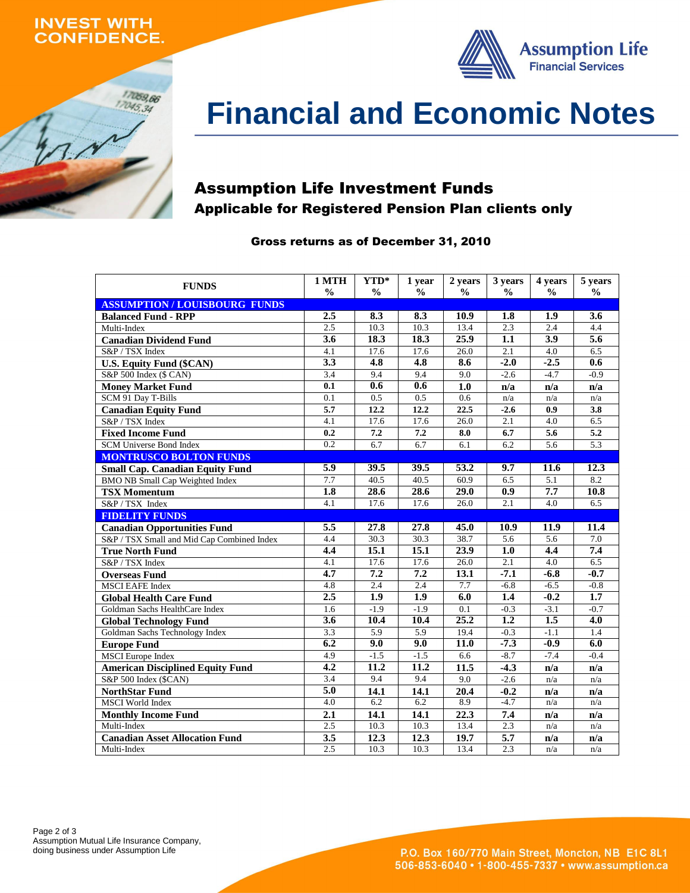### **INVEST WITH ONFIDENCE.**





# **Financial and Economic Notes**

# Assumption Life Investment Funds Applicable for Registered Pension Plan clients only

### Gross returns as of December 31, 2010

| <b>FUNDS</b>                               | 1 MTH            | YTD*             | 1 year           | 2 years       | 3 years          | 4 years          | 5 years          |
|--------------------------------------------|------------------|------------------|------------------|---------------|------------------|------------------|------------------|
|                                            | $\frac{0}{0}$    | $\frac{0}{0}$    | $\frac{0}{0}$    | $\frac{0}{0}$ | $\frac{0}{0}$    | $\frac{0}{0}$    | $\frac{0}{0}$    |
| <b>ASSUMPTION / LOUISBOURG FUNDS</b>       |                  |                  |                  |               |                  |                  |                  |
| <b>Balanced Fund - RPP</b>                 | 2.5              | 8.3              | 8.3              | 10.9          | 1.8              | 1.9              | 3.6              |
| Multi-Index                                | 2.5              | 10.3             | 10.3             | 13.4          | $\overline{2.3}$ | 2.4              | 4.4              |
| <b>Canadian Dividend Fund</b>              | 3.6              | 18.3             | 18.3             | 25.9          | 1.1              | 3.9              | $\overline{5.6}$ |
| S&P / TSX Index                            | 4.1              | 17.6             | 17.6             | 26.0          | 2.1              | 4.0              | 6.5              |
| <b>U.S. Equity Fund (\$CAN)</b>            | 3.3              | 4.8              | $\overline{4.8}$ | 8.6           | $-2.0$           | $-2.5$           | 0.6              |
| S&P 500 Index (\$ CAN)                     | $\overline{3.4}$ | 9.4              | 9.4              | 9.0           | $-2.6$           | $-4.7$           | $-0.9$           |
| <b>Money Market Fund</b>                   | $\overline{0.1}$ | 0.6              | 0.6              | 1.0           | n/a              | n/a              | n/a              |
| SCM 91 Day T-Bills                         | $\overline{0.1}$ | 0.5              | 0.5              | 0.6           | n/a              | n/a              | n/a              |
| <b>Canadian Equity Fund</b>                | $\overline{5.7}$ | 12.2             | 12.2             | 22.5          | $-2.6$           | 0.9              | 3.8              |
| S&P / TSX Index                            | 4.1              | 17.6             | 17.6             | 26.0          | 2.1              | 4.0              | 6.5              |
| <b>Fixed Income Fund</b>                   | 0.2              | 7.2              | 7.2              | 8.0           | 6.7              | $\overline{5.6}$ | 5.2              |
| SCM Universe Bond Index                    | 0.2              | 6.7              | 6.7              | 6.1           | 6.2              | 5.6              | 5.3              |
| <b>MONTRUSCO BOLTON FUNDS</b>              |                  |                  |                  |               |                  |                  |                  |
| <b>Small Cap. Canadian Equity Fund</b>     | 5.9              | 39.5             | 39.5             | 53.2          | 9.7              | 11.6             | 12.3             |
| <b>BMO NB Small Cap Weighted Index</b>     | 7.7              | 40.5             | 40.5             | 60.9          | 6.5              | 5.1              | 8.2              |
| <b>TSX Momentum</b>                        | $\overline{1.8}$ | 28.6             | 28.6             | 29.0          | 0.9              | 7.7              | 10.8             |
| S&P / TSX Index                            | $\overline{4.1}$ | 17.6             | 17.6             | 26.0          | 2.1              | $\overline{4.0}$ | 6.5              |
| <b>FIDELITY FUNDS</b>                      |                  |                  |                  |               |                  |                  |                  |
| <b>Canadian Opportunities Fund</b>         | 5.5              | 27.8             | 27.8             | 45.0          | 10.9             | 11.9             | 11.4             |
| S&P / TSX Small and Mid Cap Combined Index | 4.4              | 30.3             | 30.3             | 38.7          | $\overline{5.6}$ | $\overline{5.6}$ | 7.0              |
| <b>True North Fund</b>                     | $\overline{4.4}$ | 15.1             | 15.1             | 23.9          | $\overline{1.0}$ | 4.4              | 7.4              |
| S&P / TSX Index                            | 4.1              | 17.6             | 17.6             | 26.0          | 2.1              | 4.0              | 6.5              |
| <b>Overseas Fund</b>                       | 4.7              | 7.2              | 7.2              | 13.1          | $-7.1$           | $-6.8$           | $-0.7$           |
| <b>MSCI EAFE Index</b>                     | 4.8              | 2.4              | 2.4              | 7.7           | $-6.8$           | $-6.5$           | $-0.8$           |
| <b>Global Health Care Fund</b>             | 2.5              | 1.9              | 1.9              | 6.0           | 1.4              | $-0.2$           | 1.7              |
| Goldman Sachs HealthCare Index             | 1.6              | $-1.9$           | $-1.9$           | 0.1           | $-0.3$           | $-3.1$           | $-0.7$           |
| <b>Global Technology Fund</b>              | $\overline{3.6}$ | 10.4             | 10.4             | 25.2          | 1.2              | 1.5              | 4.0              |
| Goldman Sachs Technology Index             | $\overline{3.3}$ | $\overline{5.9}$ | 5.9              | 19.4          | $-0.3$           | $-1.1$           | 1.4              |
| <b>Europe Fund</b>                         | 6.2              | 9.0              | 9.0              | 11.0          | $-7.3$           | $-0.9$           | 6.0              |
| <b>MSCI</b> Europe Index                   | 4.9              | $-1.5$           | $-1.5$           | 6.6           | $-8.7$           | $-7.4$           | $-0.4$           |
| <b>American Disciplined Equity Fund</b>    | $\overline{4.2}$ | 11.2             | 11.2             | 11.5          | $-4.3$           | n/a              | n/a              |
| S&P 500 Index (\$CAN)                      | 3.4              | 9.4              | 9.4              | 9.0           | $-2.6$           | n/a              | n/a              |
| <b>NorthStar Fund</b>                      | $\overline{5.0}$ | 14.1             | 14.1             | 20.4          | $-0.2$           | n/a              | n/a              |
| <b>MSCI</b> World Index                    | 4.0              | $\overline{6.2}$ | 6.2              | 8.9           | $-4.7$           | n/a              | n/a              |
| <b>Monthly Income Fund</b>                 | 2.1              | 14.1             | 14.1             | 22.3          | 7.4              | n/a              | n/a              |
| Multi-Index                                | 2.5              | 10.3             | 10.3             | 13.4          | 2.3              | n/a              | n/a              |
| <b>Canadian Asset Allocation Fund</b>      | 3.5              | 12.3             | 12.3             | 19.7          | 5.7              | n/a              | n/a              |
| Multi-Index                                | 2.5              | 10.3             | 10.3             | 13.4          | $\overline{2.3}$ | n/a              | n/a              |